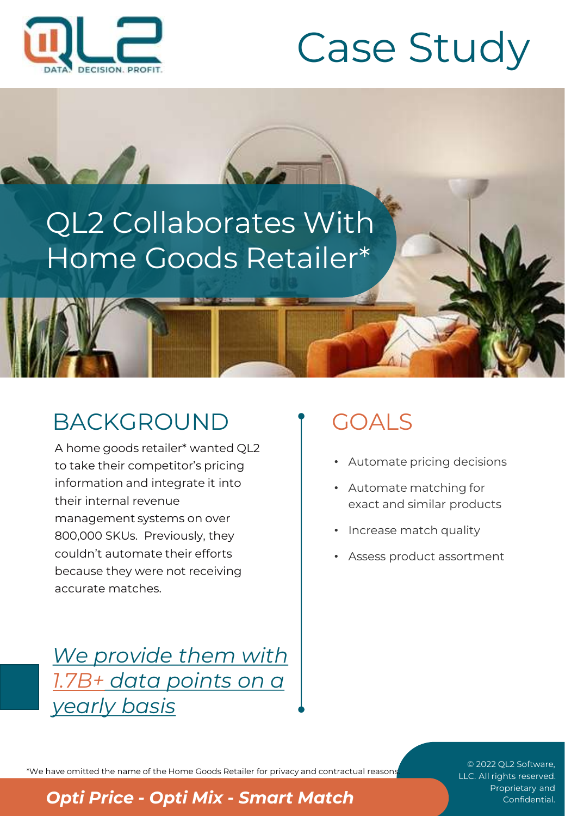

Sel1

# Case Study

# QL2 Collaborates With Home Goods Retailer\*

# BACKGROUND

A home goods retailer\* wanted QL2 to take their competitor's pricing information and integrate it into their internal revenue management systems on over 800,000 SKUs. Previously, they couldn't automate their efforts because they were not receiving accurate matches.

*We provide them with 1.7B+ data points on a yearly basis*

# GOALS

- Automate pricing decisions
- Automate matching for exact and similar products
- Increase match quality
- Assess product assortment

\*We have omitted the name of the Home Goods Retailer for privacy and contractual reasons.

© 2022 QL2 Software, LLC. All rights reserved.

**Proprise Apprigment Confidential. Proprietary and <b>Opti Price -** *Opti Mix - Smart Match* Confidential.